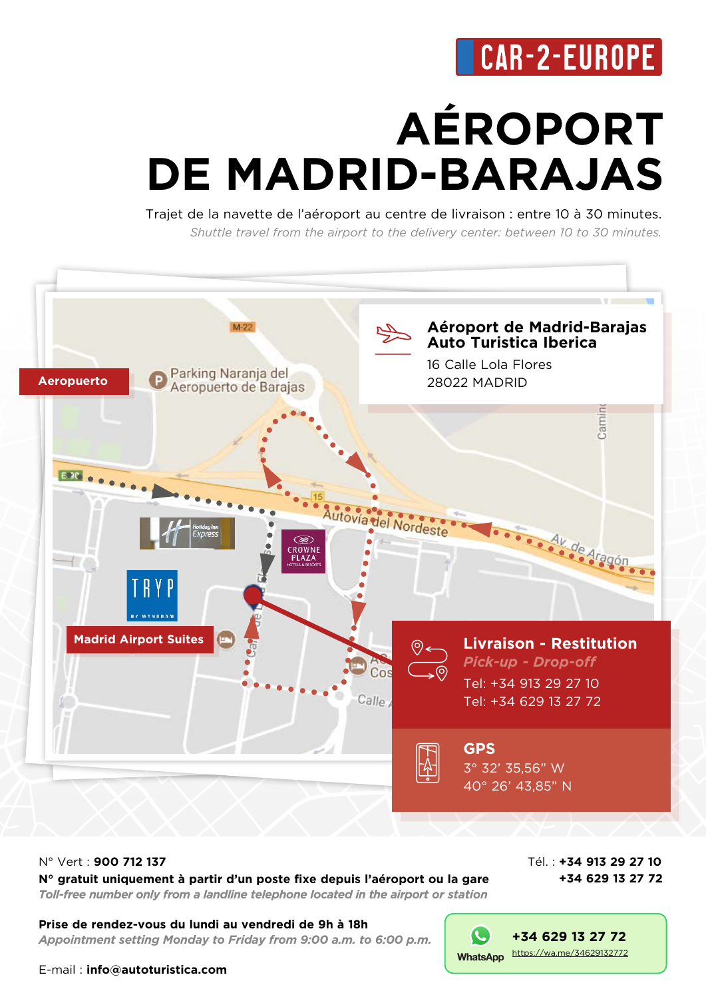## **CAR-2-EUROPE**

# **AÉROPORT DE MADRID-BARAJAS**

Trajet de la navette de l'aéroport au centre de livraison : entre 10 à 30 minutes. *Shuttle travel from the airport to the delivery center: between 10 to 30 minutes.*



#### N° Vert : **900 712 137 N° gratuit uniquement à partir d'un poste fixe depuis l'aéroport ou la gare** *Toll-free number only from a landline telephone located in the airport or station*

Tél. : **+34 913 29 27 10 +34 629 13 27 72**

**[+34 629 13 27 72](https://wa.me/34629132772)**

WhatsApp https://wa.me/34629132772

(L

**Prise de rendez-vous du lundi au vendredi de 9h à 18h** *Appointment setting Monday to Friday from 9:00 a.m. to 6:00 p.m.*

E-mail : **info@autoturistica.com**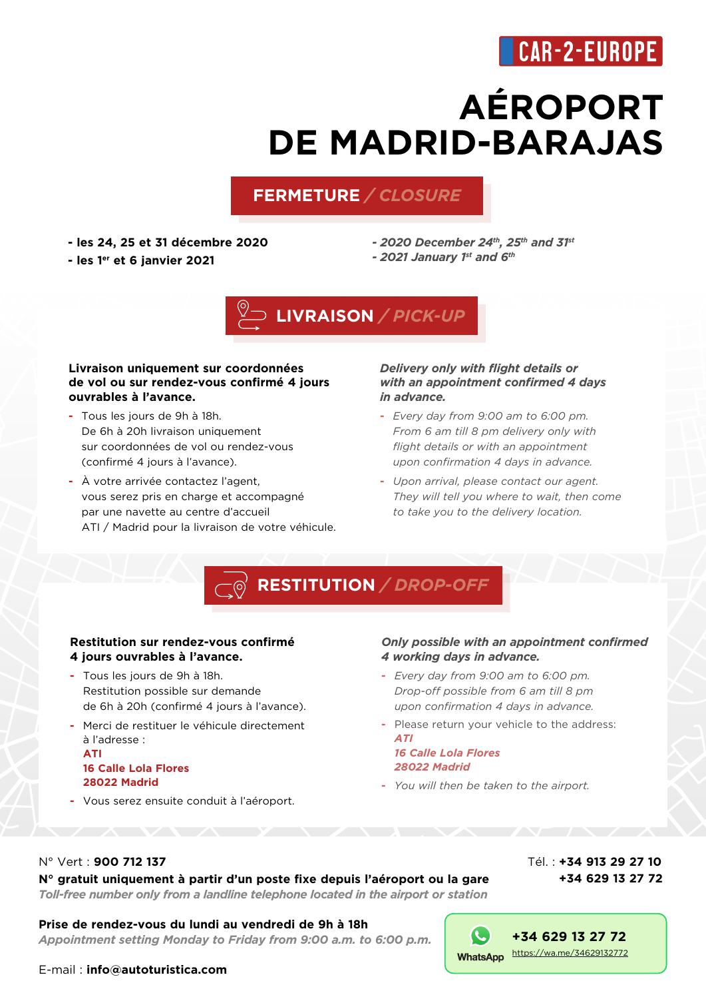### CAR-2-EUROPE

## **AÉROPORT DE MADRID-BARAJAS**

#### **FERMETURE** */ CLOSURE*

**- les 24, 25 et 31 décembre 2020**

**- les 1er et 6 janvier 2021**

*- 2020 December 24th, 25th and 31st - 2021 January 1st and 6th*



#### **Livraison uniquement sur coordonnées de vol ou sur rendez-vous confirmé 4 jours ouvrables à l'avance.**

- **-** Tous les jours de 9h à 18h. De 6h à 20h livraison uniquement sur coordonnées de vol ou rendez-vous (confirmé 4 jours à l'avance).
- **-** À votre arrivée contactez l'agent, vous serez pris en charge et accompagné par une navette au centre d'accueil ATI / Madrid pour la livraison de votre véhicule.

#### *Delivery only with flight details or with an appointment confirmed 4 days in advance.*

- **-** *Every day from 9:00 am to 6:00 pm. From 6 am till 8 pm delivery only with flight details or with an appointment upon confirmation 4 days in advance.*
- **-** *Upon arrival, please contact our agent. They will tell you where to wait, then come to take you to the delivery location.*

### **RESTITUTION** */ DROP-OFF*

#### **Restitution sur rendez-vous confirmé 4 jours ouvrables à l'avance.**

- **-** Tous les jours de 9h à 18h. Restitution possible sur demande de 6h à 20h (confirmé 4 jours à l'avance).
- **-** Merci de restituer le véhicule directement à l'adresse : **ATI 16 Calle Lola Flores 28022 Madrid**
- **-** Vous serez ensuite conduit à l'aéroport.

#### *Only possible with an appointment confirmed 4 working days in advance.*

- **-** *Every day from 9:00 am to 6:00 pm. Drop-off possible from 6 am till 8 pm upon confirmation 4 days in advance.*
- **-** Please return your vehicle to the address: *ATI*

*16 Calle Lola Flores 28022 Madrid*

**-** *You will then be taken to the airport.*

IL.

#### N° Vert : **900 712 137**

#### **N° gratuit uniquement à partir d'un poste fixe depuis l'aéroport ou la gare** *Toll-free number only from a landline telephone located in the airport or station*

#### Tél. : **+34 913 29 27 10 +34 629 13 27 72**

**[+34 629 13 27 72](https://wa.me/34629132772)**

WhatsApp https://wa.me/34629132772

**Prise de rendez-vous du lundi au vendredi de 9h à 18h**

*Appointment setting Monday to Friday from 9:00 a.m. to 6:00 p.m.*

E-mail : **info@autoturistica.com**